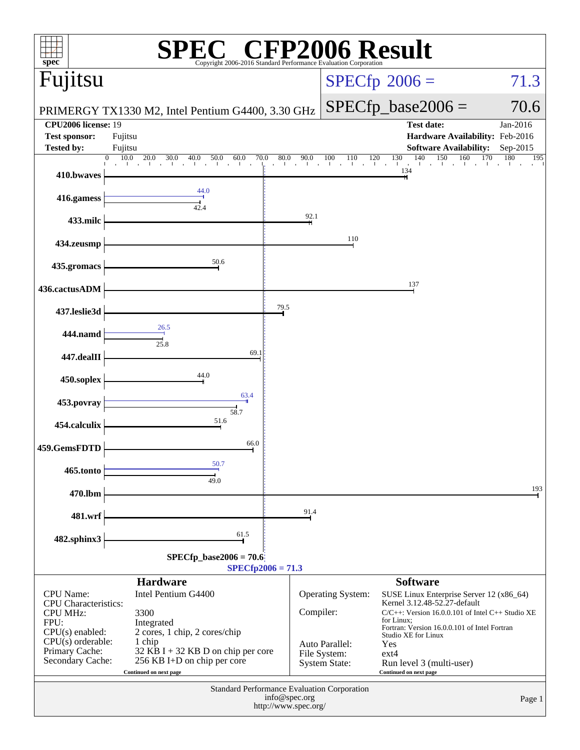| spec®                                          | Copyright 2006-2016 Standard Performance Evaluation Corporation                   |                                             |                                      | <b>FP2006 Result</b>                                                                   |                               |
|------------------------------------------------|-----------------------------------------------------------------------------------|---------------------------------------------|--------------------------------------|----------------------------------------------------------------------------------------|-------------------------------|
| Fujitsu                                        |                                                                                   |                                             |                                      | $SPECfp^{\circledast}2006 =$                                                           | 71.3                          |
|                                                | PRIMERGY TX1330 M2, Intel Pentium G4400, 3.30 GHz                                 |                                             |                                      | $SPECfp\_base2006 =$                                                                   | 70.6                          |
| <b>CPU2006</b> license: 19                     |                                                                                   |                                             |                                      | <b>Test date:</b>                                                                      | Jan-2016                      |
| <b>Test sponsor:</b>                           | Fujitsu                                                                           |                                             |                                      | Hardware Availability: Feb-2016                                                        |                               |
| <b>Tested by:</b>                              | Fujitsu<br>10.0<br>20.0<br>$\overline{0}$<br>70.0<br>30.0<br>40.0<br>50.0<br>60.0 | 80.0<br>90.0                                | 100<br>110                           | <b>Software Availability:</b><br>120<br>130<br>160                                     | Sep-2015<br>170<br>180<br>195 |
| 410.bwaves                                     |                                                                                   | $\sim$<br>$\blacksquare$                    |                                      | $\frac{130}{1}$ $\frac{140}{1}$ $\frac{150}{1}$<br>$\mathbf{1}$<br>$\mathbf{L}$<br>134 |                               |
| 416.gamess                                     | 44.0<br>42.4                                                                      |                                             |                                      |                                                                                        |                               |
| 433.milc                                       |                                                                                   | 92.1                                        |                                      |                                                                                        |                               |
| 434.zeusmp                                     |                                                                                   |                                             | 110                                  |                                                                                        |                               |
| 435.gromacs                                    | 50.6                                                                              |                                             |                                      |                                                                                        |                               |
| 436.cactusADM                                  |                                                                                   |                                             |                                      | 137                                                                                    |                               |
| 437.leslie3d                                   |                                                                                   | 79.5                                        |                                      |                                                                                        |                               |
| 444.namd                                       | 26.5<br>25.8                                                                      |                                             |                                      |                                                                                        |                               |
| 447.dealII                                     | 69.1                                                                              |                                             |                                      |                                                                                        |                               |
| 450.soplex                                     | 44.0                                                                              |                                             |                                      |                                                                                        |                               |
| 453.povray                                     | 63.4<br>58.7                                                                      |                                             |                                      |                                                                                        |                               |
| 454.calculix                                   | 51.6                                                                              |                                             |                                      |                                                                                        |                               |
| 459.GemsFDTD                                   | 66.0                                                                              |                                             |                                      |                                                                                        |                               |
| 465.tonto                                      | 50.7<br>49.0                                                                      |                                             |                                      |                                                                                        |                               |
| 470.lbm                                        |                                                                                   |                                             |                                      |                                                                                        | 193                           |
| 481.wrf                                        |                                                                                   | 91.4                                        |                                      |                                                                                        |                               |
| 482.sphinx3                                    | 61.5                                                                              |                                             |                                      |                                                                                        |                               |
|                                                | $SPECfp\_base2006 = 70.6$                                                         | $SPECfp2006 = 71.3$                         |                                      |                                                                                        |                               |
|                                                | <b>Hardware</b>                                                                   |                                             |                                      | <b>Software</b>                                                                        |                               |
| <b>CPU</b> Name:                               | Intel Pentium G4400                                                               |                                             | Operating System:                    | SUSE Linux Enterprise Server 12 (x86_64)                                               |                               |
| <b>CPU</b> Characteristics:<br><b>CPU MHz:</b> | 3300                                                                              | Compiler:                                   |                                      | Kernel 3.12.48-52.27-default<br>$C/C++$ : Version 16.0.0.101 of Intel $C++$ Studio XE  |                               |
| FPU:<br>$CPU(s)$ enabled:                      | Integrated<br>2 cores, 1 chip, 2 cores/chip                                       |                                             |                                      | for Linux:<br>Fortran: Version 16.0.0.101 of Intel Fortran                             |                               |
| $CPU(s)$ orderable:                            | 1 chip                                                                            |                                             | Auto Parallel:                       | Studio XE for Linux<br>Yes                                                             |                               |
| Primary Cache:<br>Secondary Cache:             | 32 KB I + 32 KB D on chip per core<br>256 KB I+D on chip per core                 |                                             | File System:<br><b>System State:</b> | $ext{4}$<br>Run level 3 (multi-user)                                                   |                               |
|                                                | Continued on next page                                                            |                                             |                                      | Continued on next page                                                                 |                               |
|                                                |                                                                                   | Standard Performance Evaluation Corporation |                                      |                                                                                        |                               |
|                                                |                                                                                   | info@spec.org<br>http://www.spec.org/       |                                      |                                                                                        | Page 1                        |
|                                                |                                                                                   |                                             |                                      |                                                                                        |                               |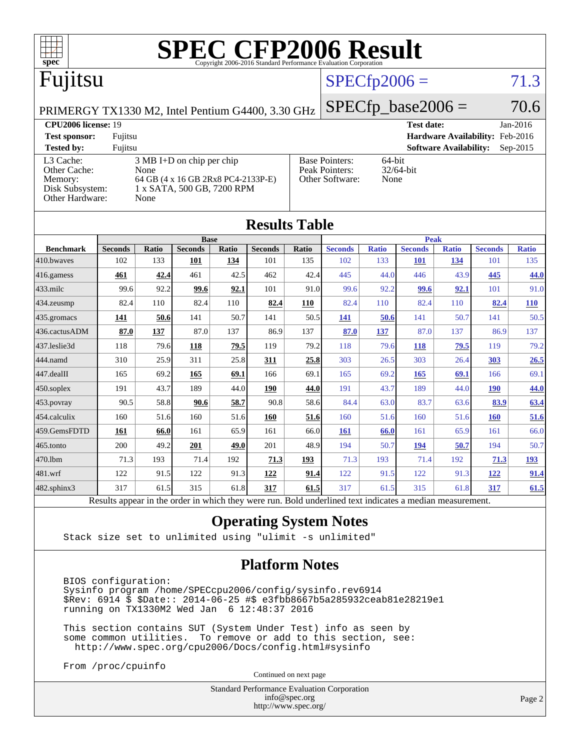

| $\sim$                                                                                                   |                |       |                |       |                |       |                |              |                |              |                |              |
|----------------------------------------------------------------------------------------------------------|----------------|-------|----------------|-------|----------------|-------|----------------|--------------|----------------|--------------|----------------|--------------|
|                                                                                                          |                |       | <b>Base</b>    |       |                |       | <b>Peak</b>    |              |                |              |                |              |
| <b>Benchmark</b>                                                                                         | <b>Seconds</b> | Ratio | <b>Seconds</b> | Ratio | <b>Seconds</b> | Ratio | <b>Seconds</b> | <b>Ratio</b> | <b>Seconds</b> | <b>Ratio</b> | <b>Seconds</b> | <b>Ratio</b> |
| 410.bwayes                                                                                               | 102            | 133   | 101            | 134   | 101            | 135   | 102            | 133          | <b>101</b>     | 134          | 101            | 135          |
| 416.gamess                                                                                               | 461            | 42.4  | 461            | 42.5  | 462            | 42.4  | 445            | 44.0         | 446            | 43.9         | 445            | 44.0         |
| 433.milc                                                                                                 | 99.6           | 92.2  | 99.6           | 92.1  | 101            | 91.0  | 99.6           | 92.2         | 99.6           | 92.1         | 101            | 91.0         |
| 434.zeusmp                                                                                               | 82.4           | 110   | 82.4           | 110   | 82.4           | 110   | 82.4           | 110          | 82.4           | 110          | 82.4           | 110          |
| 435.gromacs                                                                                              | 141            | 50.6  | 141            | 50.7  | 141            | 50.5  | 141            | 50.6         | 141            | 50.7         | 141            | 50.5         |
| 436.cactusADM                                                                                            | 87.0           | 137   | 87.0           | 137   | 86.9           | 137   | 87.0           | <u>137</u>   | 87.0           | 137          | 86.9           | 137          |
| 437.leslie3d                                                                                             | 118            | 79.6  | 118            | 79.5  | 119            | 79.2  | 118            | 79.6         | 118            | 79.5         | 119            | 79.2         |
| 444.namd                                                                                                 | 310            | 25.9  | 311            | 25.8  | 311            | 25.8  | 303            | 26.5         | 303            | 26.4         | 303            | 26.5         |
| 447.dealII                                                                                               | 165            | 69.2  | 165            | 69.1  | 166            | 69.1  | 165            | 69.2         | 165            | 69.1         | 166            | 69.1         |
| 450.soplex                                                                                               | 191            | 43.7  | 189            | 44.0  | 190            | 44.0  | 191            | 43.7         | 189            | 44.0         | <b>190</b>     | <b>44.0</b>  |
| 453.povray                                                                                               | 90.5           | 58.8  | 90.6           | 58.7  | 90.8           | 58.6  | 84.4           | 63.0         | 83.7           | 63.6         | 83.9           | 63.4         |
| 454.calculix                                                                                             | 160            | 51.6  | 160            | 51.6  | 160            | 51.6  | 160            | 51.6         | 160            | 51.6         | <b>160</b>     | 51.6         |
| 459.GemsFDTD                                                                                             | 161            | 66.0  | 161            | 65.9  | 161            | 66.0  | 161            | 66.0         | 161            | 65.9         | 161            | 66.0         |
| 465.tonto                                                                                                | 200            | 49.2  | 201            | 49.0  | 201            | 48.9  | 194            | 50.7         | 194            | 50.7         | 194            | 50.7         |
| 470.1bm                                                                                                  | 71.3           | 193   | 71.4           | 192   | 71.3           | 193   | 71.3           | 193          | 71.4           | 192          | 71.3           | <u>193</u>   |
| 481.wrf                                                                                                  | 122            | 91.5  | 122            | 91.3  | 122            | 91.4  | 122            | 91.5         | 122            | 91.3         | 122            | 91.4         |
| $482$ .sphinx $3$                                                                                        | 317            | 61.5  | 315            | 61.8  | 317            | 61.5  | 317            | 61.5         | 315            | 61.8         | 317            | 61.5         |
| Results appear in the order in which they were run. Bold underlined text indicates a median measurement. |                |       |                |       |                |       |                |              |                |              |                |              |

#### **[Operating System Notes](http://www.spec.org/auto/cpu2006/Docs/result-fields.html#OperatingSystemNotes)**

Stack size set to unlimited using "ulimit -s unlimited"

### **[Platform Notes](http://www.spec.org/auto/cpu2006/Docs/result-fields.html#PlatformNotes)**

 BIOS configuration: Sysinfo program /home/SPECcpu2006/config/sysinfo.rev6914 \$Rev: 6914 \$ \$Date:: 2014-06-25 #\$ e3fbb8667b5a285932ceab81e28219e1 running on TX1330M2 Wed Jan 6 12:48:37 2016

 This section contains SUT (System Under Test) info as seen by some common utilities. To remove or add to this section, see: <http://www.spec.org/cpu2006/Docs/config.html#sysinfo>

From /proc/cpuinfo

Continued on next page

Standard Performance Evaluation Corporation [info@spec.org](mailto:info@spec.org) <http://www.spec.org/>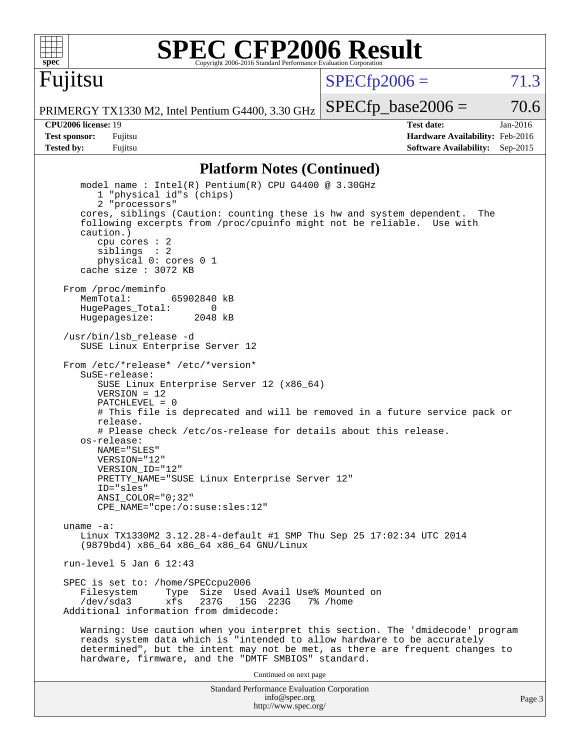

Fujitsu

# **[SPEC CFP2006 Result](http://www.spec.org/auto/cpu2006/Docs/result-fields.html#SPECCFP2006Result)**

 $SPECTp2006 = 71.3$ 

PRIMERGY TX1330 M2, Intel Pentium G4400, 3.30 GHz

 $SPECTp\_base2006 = 70.6$ 

**[Tested by:](http://www.spec.org/auto/cpu2006/Docs/result-fields.html#Testedby)** Fujitsu **Fugital Example 2015 [Software Availability:](http://www.spec.org/auto/cpu2006/Docs/result-fields.html#SoftwareAvailability)** Sep-2015

**[CPU2006 license:](http://www.spec.org/auto/cpu2006/Docs/result-fields.html#CPU2006license)** 19 **[Test date:](http://www.spec.org/auto/cpu2006/Docs/result-fields.html#Testdate)** Jan-2016 **[Test sponsor:](http://www.spec.org/auto/cpu2006/Docs/result-fields.html#Testsponsor)** Fujitsu **[Hardware Availability:](http://www.spec.org/auto/cpu2006/Docs/result-fields.html#HardwareAvailability)** Feb-2016

#### **[Platform Notes \(Continued\)](http://www.spec.org/auto/cpu2006/Docs/result-fields.html#PlatformNotes)**

Standard Performance Evaluation Corporation [info@spec.org](mailto:info@spec.org) model name : Intel(R) Pentium(R) CPU G4400 @ 3.30GHz 1 "physical id"s (chips) 2 "processors" cores, siblings (Caution: counting these is hw and system dependent. The following excerpts from /proc/cpuinfo might not be reliable. Use with caution.) cpu cores : 2 siblings : 2 physical 0: cores 0 1 cache size : 3072 KB From /proc/meminfo MemTotal: 65902840 kB HugePages\_Total: 0<br>Hugepagesize: 2048 kB Hugepagesize: /usr/bin/lsb\_release -d SUSE Linux Enterprise Server 12 From /etc/\*release\* /etc/\*version\* SuSE-release: SUSE Linux Enterprise Server 12 (x86\_64)  $VFRSTON = 12$  PATCHLEVEL = 0 # This file is deprecated and will be removed in a future service pack or release. # Please check /etc/os-release for details about this release. os-release: NAME="SLES" VERSION="12" VERSION\_ID="12" PRETTY\_NAME="SUSE Linux Enterprise Server 12" ID="sles" ANSI\_COLOR="0;32" CPE\_NAME="cpe:/o:suse:sles:12" uname -a: Linux TX1330M2 3.12.28-4-default #1 SMP Thu Sep 25 17:02:34 UTC 2014 (9879bd4) x86\_64 x86\_64 x86\_64 GNU/Linux run-level 5 Jan 6 12:43 SPEC is set to: /home/SPECcpu2006<br>Filesystem Type Size Use Type Size Used Avail Use% Mounted on /dev/sda3 xfs 237G 15G 223G 7% /home Additional information from dmidecode: Warning: Use caution when you interpret this section. The 'dmidecode' program reads system data which is "intended to allow hardware to be accurately determined", but the intent may not be met, as there are frequent changes to hardware, firmware, and the "DMTF SMBIOS" standard. Continued on next page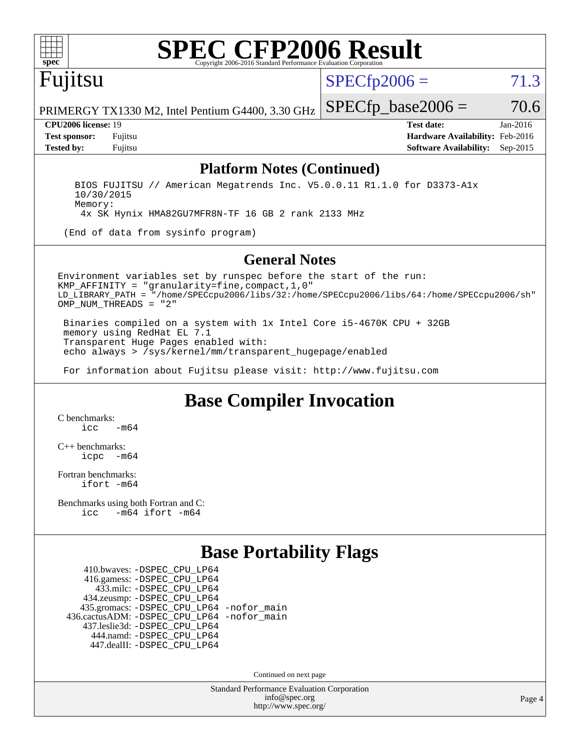

# **[SPEC CFP2006 Result](http://www.spec.org/auto/cpu2006/Docs/result-fields.html#SPECCFP2006Result)**

Fujitsu

 $SPECTp2006 = 71.3$ 

PRIMERGY TX1330 M2, Intel Pentium G4400, 3.30 GHz  $SPECTp\_base2006 = 70.6$ 

**[CPU2006 license:](http://www.spec.org/auto/cpu2006/Docs/result-fields.html#CPU2006license)** 19 **[Test date:](http://www.spec.org/auto/cpu2006/Docs/result-fields.html#Testdate)** Jan-2016 **[Test sponsor:](http://www.spec.org/auto/cpu2006/Docs/result-fields.html#Testsponsor)** Fujitsu **[Hardware Availability:](http://www.spec.org/auto/cpu2006/Docs/result-fields.html#HardwareAvailability)** Feb-2016 **[Tested by:](http://www.spec.org/auto/cpu2006/Docs/result-fields.html#Testedby)** Fujitsu **[Software Availability:](http://www.spec.org/auto/cpu2006/Docs/result-fields.html#SoftwareAvailability)** Sep-2015

#### **[Platform Notes \(Continued\)](http://www.spec.org/auto/cpu2006/Docs/result-fields.html#PlatformNotes)**

 BIOS FUJITSU // American Megatrends Inc. V5.0.0.11 R1.1.0 for D3373-A1x 10/30/2015 Memory: 4x SK Hynix HMA82GU7MFR8N-TF 16 GB 2 rank 2133 MHz

(End of data from sysinfo program)

#### **[General Notes](http://www.spec.org/auto/cpu2006/Docs/result-fields.html#GeneralNotes)**

Environment variables set by runspec before the start of the run: KMP\_AFFINITY = "granularity=fine,compact,1,0" LD\_LIBRARY\_PATH = "/home/SPECcpu2006/libs/32:/home/SPECcpu2006/libs/64:/home/SPECcpu2006/sh" OMP NUM THREADS = "2"

 Binaries compiled on a system with 1x Intel Core i5-4670K CPU + 32GB memory using RedHat EL 7.1 Transparent Huge Pages enabled with: echo always > /sys/kernel/mm/transparent\_hugepage/enabled

For information about Fujitsu please visit: <http://www.fujitsu.com>

## **[Base Compiler Invocation](http://www.spec.org/auto/cpu2006/Docs/result-fields.html#BaseCompilerInvocation)**

[C benchmarks](http://www.spec.org/auto/cpu2006/Docs/result-fields.html#Cbenchmarks):  $\frac{1}{2}$ cc  $-\text{m64}$ 

[C++ benchmarks:](http://www.spec.org/auto/cpu2006/Docs/result-fields.html#CXXbenchmarks) [icpc -m64](http://www.spec.org/cpu2006/results/res2016q1/cpu2006-20160111-38699.flags.html#user_CXXbase_intel_icpc_64bit_bedb90c1146cab66620883ef4f41a67e)

[Fortran benchmarks](http://www.spec.org/auto/cpu2006/Docs/result-fields.html#Fortranbenchmarks): [ifort -m64](http://www.spec.org/cpu2006/results/res2016q1/cpu2006-20160111-38699.flags.html#user_FCbase_intel_ifort_64bit_ee9d0fb25645d0210d97eb0527dcc06e)

[Benchmarks using both Fortran and C](http://www.spec.org/auto/cpu2006/Docs/result-fields.html#BenchmarksusingbothFortranandC): [icc -m64](http://www.spec.org/cpu2006/results/res2016q1/cpu2006-20160111-38699.flags.html#user_CC_FCbase_intel_icc_64bit_0b7121f5ab7cfabee23d88897260401c) [ifort -m64](http://www.spec.org/cpu2006/results/res2016q1/cpu2006-20160111-38699.flags.html#user_CC_FCbase_intel_ifort_64bit_ee9d0fb25645d0210d97eb0527dcc06e)

## **[Base Portability Flags](http://www.spec.org/auto/cpu2006/Docs/result-fields.html#BasePortabilityFlags)**

 410.bwaves: [-DSPEC\\_CPU\\_LP64](http://www.spec.org/cpu2006/results/res2016q1/cpu2006-20160111-38699.flags.html#suite_basePORTABILITY410_bwaves_DSPEC_CPU_LP64) 416.gamess: [-DSPEC\\_CPU\\_LP64](http://www.spec.org/cpu2006/results/res2016q1/cpu2006-20160111-38699.flags.html#suite_basePORTABILITY416_gamess_DSPEC_CPU_LP64) 433.milc: [-DSPEC\\_CPU\\_LP64](http://www.spec.org/cpu2006/results/res2016q1/cpu2006-20160111-38699.flags.html#suite_basePORTABILITY433_milc_DSPEC_CPU_LP64) 434.zeusmp: [-DSPEC\\_CPU\\_LP64](http://www.spec.org/cpu2006/results/res2016q1/cpu2006-20160111-38699.flags.html#suite_basePORTABILITY434_zeusmp_DSPEC_CPU_LP64) 435.gromacs: [-DSPEC\\_CPU\\_LP64](http://www.spec.org/cpu2006/results/res2016q1/cpu2006-20160111-38699.flags.html#suite_basePORTABILITY435_gromacs_DSPEC_CPU_LP64) [-nofor\\_main](http://www.spec.org/cpu2006/results/res2016q1/cpu2006-20160111-38699.flags.html#user_baseLDPORTABILITY435_gromacs_f-nofor_main) 436.cactusADM: [-DSPEC\\_CPU\\_LP64](http://www.spec.org/cpu2006/results/res2016q1/cpu2006-20160111-38699.flags.html#suite_basePORTABILITY436_cactusADM_DSPEC_CPU_LP64) [-nofor\\_main](http://www.spec.org/cpu2006/results/res2016q1/cpu2006-20160111-38699.flags.html#user_baseLDPORTABILITY436_cactusADM_f-nofor_main) 437.leslie3d: [-DSPEC\\_CPU\\_LP64](http://www.spec.org/cpu2006/results/res2016q1/cpu2006-20160111-38699.flags.html#suite_basePORTABILITY437_leslie3d_DSPEC_CPU_LP64) 444.namd: [-DSPEC\\_CPU\\_LP64](http://www.spec.org/cpu2006/results/res2016q1/cpu2006-20160111-38699.flags.html#suite_basePORTABILITY444_namd_DSPEC_CPU_LP64) 447.dealII: [-DSPEC\\_CPU\\_LP64](http://www.spec.org/cpu2006/results/res2016q1/cpu2006-20160111-38699.flags.html#suite_basePORTABILITY447_dealII_DSPEC_CPU_LP64)

Continued on next page

Standard Performance Evaluation Corporation [info@spec.org](mailto:info@spec.org) <http://www.spec.org/>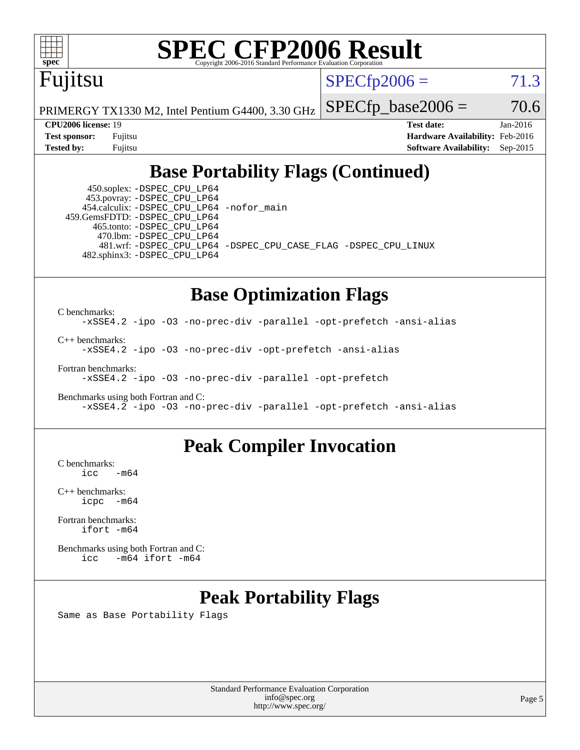

# **[SPEC CFP2006 Result](http://www.spec.org/auto/cpu2006/Docs/result-fields.html#SPECCFP2006Result)**

Fujitsu

PRIMERGY TX1330 M2, Intel Pentium G4400, 3.30 GHz

 $SPECTp2006 = 71.3$ 

 $SPECTp\_base2006 = 70.6$ 

**[Tested by:](http://www.spec.org/auto/cpu2006/Docs/result-fields.html#Testedby)** Fujitsu **[Software Availability:](http://www.spec.org/auto/cpu2006/Docs/result-fields.html#SoftwareAvailability)** Sep-2015

**[CPU2006 license:](http://www.spec.org/auto/cpu2006/Docs/result-fields.html#CPU2006license)** 19 **[Test date:](http://www.spec.org/auto/cpu2006/Docs/result-fields.html#Testdate)** Jan-2016 **[Test sponsor:](http://www.spec.org/auto/cpu2006/Docs/result-fields.html#Testsponsor)** Fujitsu **[Hardware Availability:](http://www.spec.org/auto/cpu2006/Docs/result-fields.html#HardwareAvailability)** Feb-2016

# **[Base Portability Flags \(Continued\)](http://www.spec.org/auto/cpu2006/Docs/result-fields.html#BasePortabilityFlags)**

 450.soplex: [-DSPEC\\_CPU\\_LP64](http://www.spec.org/cpu2006/results/res2016q1/cpu2006-20160111-38699.flags.html#suite_basePORTABILITY450_soplex_DSPEC_CPU_LP64) 453.povray: [-DSPEC\\_CPU\\_LP64](http://www.spec.org/cpu2006/results/res2016q1/cpu2006-20160111-38699.flags.html#suite_basePORTABILITY453_povray_DSPEC_CPU_LP64) 454.calculix: [-DSPEC\\_CPU\\_LP64](http://www.spec.org/cpu2006/results/res2016q1/cpu2006-20160111-38699.flags.html#suite_basePORTABILITY454_calculix_DSPEC_CPU_LP64) [-nofor\\_main](http://www.spec.org/cpu2006/results/res2016q1/cpu2006-20160111-38699.flags.html#user_baseLDPORTABILITY454_calculix_f-nofor_main) 459.GemsFDTD: [-DSPEC\\_CPU\\_LP64](http://www.spec.org/cpu2006/results/res2016q1/cpu2006-20160111-38699.flags.html#suite_basePORTABILITY459_GemsFDTD_DSPEC_CPU_LP64) 465.tonto: [-DSPEC\\_CPU\\_LP64](http://www.spec.org/cpu2006/results/res2016q1/cpu2006-20160111-38699.flags.html#suite_basePORTABILITY465_tonto_DSPEC_CPU_LP64) 470.lbm: [-DSPEC\\_CPU\\_LP64](http://www.spec.org/cpu2006/results/res2016q1/cpu2006-20160111-38699.flags.html#suite_basePORTABILITY470_lbm_DSPEC_CPU_LP64) 482.sphinx3: [-DSPEC\\_CPU\\_LP64](http://www.spec.org/cpu2006/results/res2016q1/cpu2006-20160111-38699.flags.html#suite_basePORTABILITY482_sphinx3_DSPEC_CPU_LP64)

481.wrf: [-DSPEC\\_CPU\\_LP64](http://www.spec.org/cpu2006/results/res2016q1/cpu2006-20160111-38699.flags.html#suite_basePORTABILITY481_wrf_DSPEC_CPU_LP64) [-DSPEC\\_CPU\\_CASE\\_FLAG](http://www.spec.org/cpu2006/results/res2016q1/cpu2006-20160111-38699.flags.html#b481.wrf_baseCPORTABILITY_DSPEC_CPU_CASE_FLAG) [-DSPEC\\_CPU\\_LINUX](http://www.spec.org/cpu2006/results/res2016q1/cpu2006-20160111-38699.flags.html#b481.wrf_baseCPORTABILITY_DSPEC_CPU_LINUX)

## **[Base Optimization Flags](http://www.spec.org/auto/cpu2006/Docs/result-fields.html#BaseOptimizationFlags)**

[C benchmarks](http://www.spec.org/auto/cpu2006/Docs/result-fields.html#Cbenchmarks): [-xSSE4.2](http://www.spec.org/cpu2006/results/res2016q1/cpu2006-20160111-38699.flags.html#user_CCbase_f-xSSE42_f91528193cf0b216347adb8b939d4107) [-ipo](http://www.spec.org/cpu2006/results/res2016q1/cpu2006-20160111-38699.flags.html#user_CCbase_f-ipo) [-O3](http://www.spec.org/cpu2006/results/res2016q1/cpu2006-20160111-38699.flags.html#user_CCbase_f-O3) [-no-prec-div](http://www.spec.org/cpu2006/results/res2016q1/cpu2006-20160111-38699.flags.html#user_CCbase_f-no-prec-div) [-parallel](http://www.spec.org/cpu2006/results/res2016q1/cpu2006-20160111-38699.flags.html#user_CCbase_f-parallel) [-opt-prefetch](http://www.spec.org/cpu2006/results/res2016q1/cpu2006-20160111-38699.flags.html#user_CCbase_f-opt-prefetch) [-ansi-alias](http://www.spec.org/cpu2006/results/res2016q1/cpu2006-20160111-38699.flags.html#user_CCbase_f-ansi-alias) [C++ benchmarks:](http://www.spec.org/auto/cpu2006/Docs/result-fields.html#CXXbenchmarks) [-xSSE4.2](http://www.spec.org/cpu2006/results/res2016q1/cpu2006-20160111-38699.flags.html#user_CXXbase_f-xSSE42_f91528193cf0b216347adb8b939d4107) [-ipo](http://www.spec.org/cpu2006/results/res2016q1/cpu2006-20160111-38699.flags.html#user_CXXbase_f-ipo) [-O3](http://www.spec.org/cpu2006/results/res2016q1/cpu2006-20160111-38699.flags.html#user_CXXbase_f-O3) [-no-prec-div](http://www.spec.org/cpu2006/results/res2016q1/cpu2006-20160111-38699.flags.html#user_CXXbase_f-no-prec-div) [-opt-prefetch](http://www.spec.org/cpu2006/results/res2016q1/cpu2006-20160111-38699.flags.html#user_CXXbase_f-opt-prefetch) [-ansi-alias](http://www.spec.org/cpu2006/results/res2016q1/cpu2006-20160111-38699.flags.html#user_CXXbase_f-ansi-alias) [Fortran benchmarks](http://www.spec.org/auto/cpu2006/Docs/result-fields.html#Fortranbenchmarks): [-xSSE4.2](http://www.spec.org/cpu2006/results/res2016q1/cpu2006-20160111-38699.flags.html#user_FCbase_f-xSSE42_f91528193cf0b216347adb8b939d4107) [-ipo](http://www.spec.org/cpu2006/results/res2016q1/cpu2006-20160111-38699.flags.html#user_FCbase_f-ipo) [-O3](http://www.spec.org/cpu2006/results/res2016q1/cpu2006-20160111-38699.flags.html#user_FCbase_f-O3) [-no-prec-div](http://www.spec.org/cpu2006/results/res2016q1/cpu2006-20160111-38699.flags.html#user_FCbase_f-no-prec-div) [-parallel](http://www.spec.org/cpu2006/results/res2016q1/cpu2006-20160111-38699.flags.html#user_FCbase_f-parallel) [-opt-prefetch](http://www.spec.org/cpu2006/results/res2016q1/cpu2006-20160111-38699.flags.html#user_FCbase_f-opt-prefetch)

[Benchmarks using both Fortran and C](http://www.spec.org/auto/cpu2006/Docs/result-fields.html#BenchmarksusingbothFortranandC): [-xSSE4.2](http://www.spec.org/cpu2006/results/res2016q1/cpu2006-20160111-38699.flags.html#user_CC_FCbase_f-xSSE42_f91528193cf0b216347adb8b939d4107) [-ipo](http://www.spec.org/cpu2006/results/res2016q1/cpu2006-20160111-38699.flags.html#user_CC_FCbase_f-ipo) [-O3](http://www.spec.org/cpu2006/results/res2016q1/cpu2006-20160111-38699.flags.html#user_CC_FCbase_f-O3) [-no-prec-div](http://www.spec.org/cpu2006/results/res2016q1/cpu2006-20160111-38699.flags.html#user_CC_FCbase_f-no-prec-div) [-parallel](http://www.spec.org/cpu2006/results/res2016q1/cpu2006-20160111-38699.flags.html#user_CC_FCbase_f-parallel) [-opt-prefetch](http://www.spec.org/cpu2006/results/res2016q1/cpu2006-20160111-38699.flags.html#user_CC_FCbase_f-opt-prefetch) [-ansi-alias](http://www.spec.org/cpu2006/results/res2016q1/cpu2006-20160111-38699.flags.html#user_CC_FCbase_f-ansi-alias)

## **[Peak Compiler Invocation](http://www.spec.org/auto/cpu2006/Docs/result-fields.html#PeakCompilerInvocation)**

 $C$  benchmarks:<br>icc  $-m64$ 

[C++ benchmarks:](http://www.spec.org/auto/cpu2006/Docs/result-fields.html#CXXbenchmarks) [icpc -m64](http://www.spec.org/cpu2006/results/res2016q1/cpu2006-20160111-38699.flags.html#user_CXXpeak_intel_icpc_64bit_bedb90c1146cab66620883ef4f41a67e)

[Fortran benchmarks](http://www.spec.org/auto/cpu2006/Docs/result-fields.html#Fortranbenchmarks): [ifort -m64](http://www.spec.org/cpu2006/results/res2016q1/cpu2006-20160111-38699.flags.html#user_FCpeak_intel_ifort_64bit_ee9d0fb25645d0210d97eb0527dcc06e)

[Benchmarks using both Fortran and C](http://www.spec.org/auto/cpu2006/Docs/result-fields.html#BenchmarksusingbothFortranandC): [icc -m64](http://www.spec.org/cpu2006/results/res2016q1/cpu2006-20160111-38699.flags.html#user_CC_FCpeak_intel_icc_64bit_0b7121f5ab7cfabee23d88897260401c) [ifort -m64](http://www.spec.org/cpu2006/results/res2016q1/cpu2006-20160111-38699.flags.html#user_CC_FCpeak_intel_ifort_64bit_ee9d0fb25645d0210d97eb0527dcc06e)

# **[Peak Portability Flags](http://www.spec.org/auto/cpu2006/Docs/result-fields.html#PeakPortabilityFlags)**

Same as Base Portability Flags

Standard Performance Evaluation Corporation [info@spec.org](mailto:info@spec.org) <http://www.spec.org/>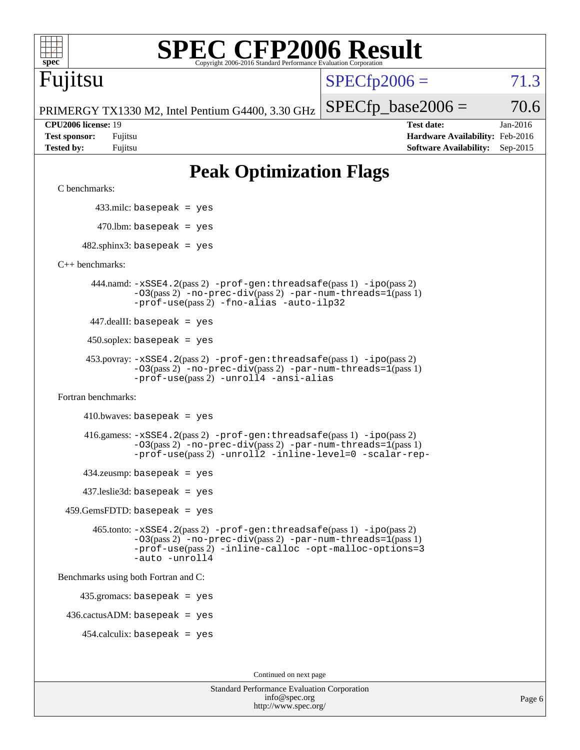| Fujitsu                                                                                                                                                                                                                 | $SPECfp2006 =$       | 71.                                                                                   |                      |
|-------------------------------------------------------------------------------------------------------------------------------------------------------------------------------------------------------------------------|----------------------|---------------------------------------------------------------------------------------|----------------------|
| PRIMERGY TX1330 M2, Intel Pentium G4400, 3.30 GHz                                                                                                                                                                       | $SPECfp\_base2006 =$ |                                                                                       | 70.                  |
| CPU2006 license: 19<br><b>Test sponsor:</b><br>Fujitsu<br><b>Tested by:</b><br>Fujitsu                                                                                                                                  |                      | <b>Test date:</b><br>Hardware Availability: Feb-2016<br><b>Software Availability:</b> | Jan-2016<br>Sep-2015 |
| <b>Peak Optimization Flags</b>                                                                                                                                                                                          |                      |                                                                                       |                      |
| C benchmarks:                                                                                                                                                                                                           |                      |                                                                                       |                      |
| $433$ .milc: basepeak = yes                                                                                                                                                                                             |                      |                                                                                       |                      |
| $470.$ lbm: basepeak = yes                                                                                                                                                                                              |                      |                                                                                       |                      |
| $482.\text{sphinx3: basepeak} = \text{yes}$                                                                                                                                                                             |                      |                                                                                       |                      |
| $C_{++}$ benchmarks:                                                                                                                                                                                                    |                      |                                                                                       |                      |
| 444.namd: -xSSE4.2(pass 2) -prof-gen:threadsafe(pass 1) -ipo(pass 2)<br>$-03(pass 2)$ -no-prec-div(pass 2) -par-num-threads=1(pass 1)<br>-prof-use(pass 2) -fno-alias -auto-ilp32                                       |                      |                                                                                       |                      |
| $447$ .dealII: basepeak = yes                                                                                                                                                                                           |                      |                                                                                       |                      |
| $450$ .soplex: basepeak = yes                                                                                                                                                                                           |                      |                                                                                       |                      |
| 453.povray: -xSSE4.2(pass 2) -prof-gen:threadsafe(pass 1) -ipo(pass 2)<br>-03(pass 2) -no-prec-div(pass 2) -par-num-threads=1(pass 1)<br>-prof-use(pass 2) -unroll4 -ansi-alias                                         |                      |                                                                                       |                      |
| Fortran benchmarks:                                                                                                                                                                                                     |                      |                                                                                       |                      |
| $410.bwaves: basepeak = yes$                                                                                                                                                                                            |                      |                                                                                       |                      |
| $416$ .gamess: $-xSSE4$ . $2(pass 2)$ -prof-gen: threadsafe(pass 1) -ipo(pass 2)<br>-03(pass 2) -no-prec-div(pass 2) -par-num-threads=1(pass 1)<br>-prof-use(pass 2) -unroll2 -inline-level=0 -scalar-rep-              |                      |                                                                                       |                      |
| $434$ .zeusmp: basepeak = yes                                                                                                                                                                                           |                      |                                                                                       |                      |
| $437$ .leslie3d: basepeak = yes                                                                                                                                                                                         |                      |                                                                                       |                      |
| $459.GemsFDTD: basepeak = yes$                                                                                                                                                                                          |                      |                                                                                       |                      |
| 465.tonto: -xSSE4.2(pass 2) -prof-gen:threadsafe(pass 1) -ipo(pass 2)<br>$-03$ (pass 2) -no-prec-div(pass 2) -par-num-threads= $1$ (pass 1)<br>-prof-use(pass 2) -inline-calloc -opt-malloc-options=3<br>-auto -unroll4 |                      |                                                                                       |                      |
| Benchmarks using both Fortran and C:                                                                                                                                                                                    |                      |                                                                                       |                      |
| $435.gromacs: basepeak = yes$                                                                                                                                                                                           |                      |                                                                                       |                      |
| $436.cactusADM: basepeak = yes$                                                                                                                                                                                         |                      |                                                                                       |                      |

**[SPEC CFP2006 Result](http://www.spec.org/auto/cpu2006/Docs/result-fields.html#SPECCFP2006Result)** 

454.calculix: basepeak = yes

Continued on next page

| <b>Standard Performance Evaluation Corporation</b> |  |
|----------------------------------------------------|--|
| info@spec.org                                      |  |
| http://www.spec.org/                               |  |

71.3

 $70.6$